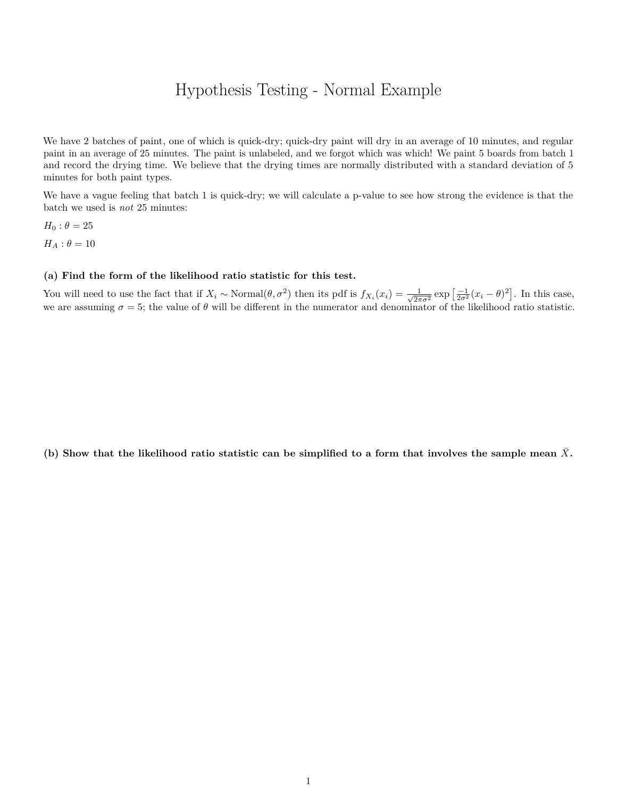## Hypothesis Testing - Normal Example

We have 2 batches of paint, one of which is quick-dry; quick-dry paint will dry in an average of 10 minutes, and regular paint in an average of 25 minutes. The paint is unlabeled, and we forgot which was which! We paint 5 boards from batch 1 and record the drying time. We believe that the drying times are normally distributed with a standard deviation of 5 minutes for both paint types.

We have a vague feeling that batch 1 is quick-dry; we will calculate a p-value to see how strong the evidence is that the batch we used is *not* 25 minutes:

 $H_0$ :  $\theta = 25$  $H_A$ :  $\theta = 10$ 

## **(a) Find the form of the likelihood ratio statistic for this test.**

You will need to use the fact that if  $X_i \sim \text{Normal}(\theta, \sigma^2)$  then its pdf is  $f_{X_i}(x_i) = \frac{1}{\sqrt{2\pi}}$  $\frac{1}{2\pi\sigma^2}$  exp  $\left[\frac{-1}{2\sigma^2}(x_i-\theta)^2\right]$ . In this case, we are assuming  $\sigma = 5$ ; the value of  $\theta$  will be different in the numerator and denominator of the likelihood ratio statistic.

(b) Show that the likelihood ratio statistic can be simplified to a form that involves the sample mean  $\bar{X}$ .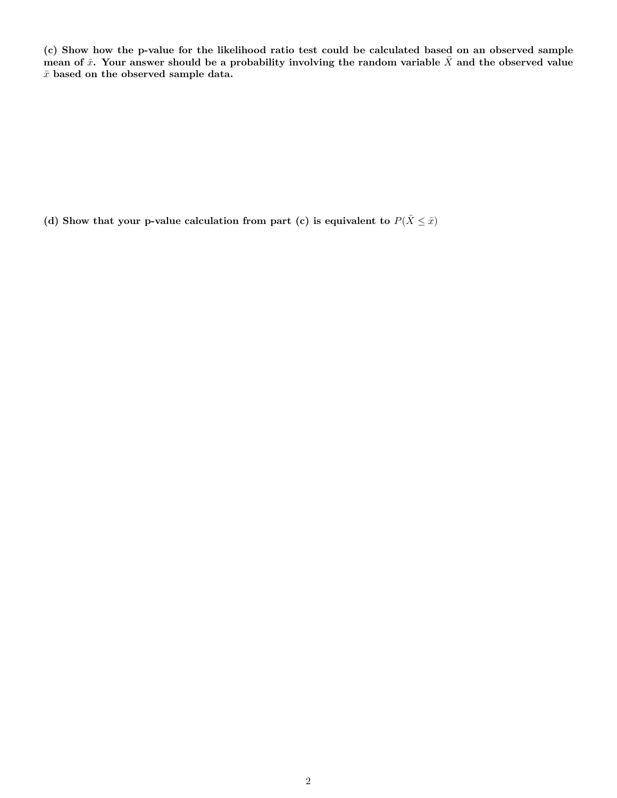**(c) Show how the p-value for the likelihood ratio test could be calculated based on an observed sample** mean of  $\bar{x}$ . Your answer should be a probability involving the random variable  $\bar{X}$  and the observed value  $\bar{x}$  based on the observed sample data.

(d) Show that your p-value calculation from part (c) is equivalent to  $P(\bar{X} \leq \bar{x})$